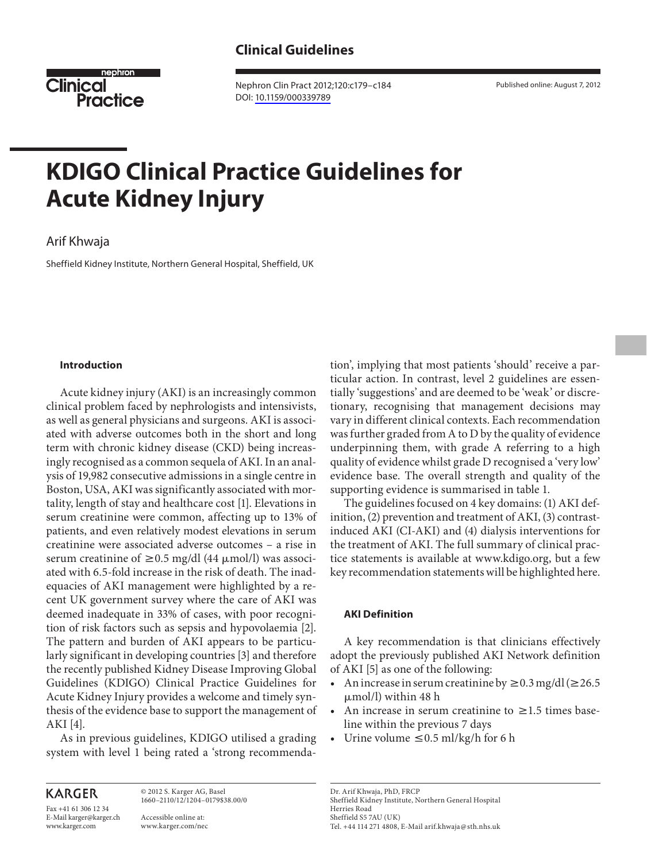

 Nephron Clin Pract 2012;120:c179–c184 DOI: [10.1159/000339789](http://dx.doi.org/10.1159%2F000339789)

# **KDIGO Clinical Practice Guidelines for Acute Kidney Injury**

# Arif Khwaja

Sheffield Kidney Institute, Northern General Hospital, Sheffield, UK

### **Introduction**

 Acute kidney injury (AKI) is an increasingly common clinical problem faced by nephrologists and intensivists, as well as general physicians and surgeons. AKI is associated with adverse outcomes both in the short and long term with chronic kidney disease (CKD) being increasingly recognised as a common sequela of AKI. In an analysis of 19,982 consecutive admissions in a single centre in Boston, USA, AKI was significantly associated with mortality, length of stay and healthcare cost [1] . Elevations in serum creatinine were common, affecting up to 13% of patients, and even relatively modest elevations in serum creatinine were associated adverse outcomes – a rise in serum creatinine of  $\geq$  0.5 mg/dl (44  $\mu$ mol/l) was associated with 6.5-fold increase in the risk of death. The inadequacies of AKI management were highlighted by a recent UK government survey where the care of AKI was deemed inadequate in 33% of cases, with poor recognition of risk factors such as sepsis and hypovolaemia [2] . The pattern and burden of AKI appears to be particularly significant in developing countries [3] and therefore the recently published Kidney Disease Improving Global Guidelines (KDIGO) Clinical Practice Guidelines for Acute Kidney Injury provides a welcome and timely synthesis of the evidence base to support the management of AKI [4].

 As in previous guidelines, KDIGO utilised a grading system with level 1 being rated a 'strong recommenda-

**KARGER** 

Fax +41 61 306 12 34 E-Mail karger@karger.ch www.karger.com

 © 2012 S. Karger AG, Basel 1660–2110/12/1204–0179\$38.00/0 Accessible online at:

www.karger.com/nec

tion', implying that most patients 'should' receive a particular action. In contrast, level 2 guidelines are essentially 'suggestions' and are deemed to be 'weak' or discretionary, recognising that management decisions may vary in different clinical contexts. Each recommendation was further graded from A to D by the quality of evidence underpinning them, with grade A referring to a high quality of evidence whilst grade D recognised a 'very low' evidence base. The overall strength and quality of the supporting evidence is summarised in table 1.

 The guidelines focused on 4 key domains: (1) AKI definition, (2) prevention and treatment of AKI, (3) contrastinduced AKI (CI-AKI) and (4) dialysis interventions for the treatment of AKI. The full summary of clinical practice statements is available at www.kdigo.org, but a few key recommendation statements will be highlighted here.

#### **AKI Definition**

 A key recommendation is that clinicians effectively adopt the previously published AKI Network definition of AKI [5] as one of the following:

- An increase in serum creatinine by  $\geq 0.3$  mg/dl ( $\geq 26.5$ ) μmol/l) within 48 h
- An increase in serum creatinine to  $\geq 1.5$  times baseline within the previous 7 days
- Urine volume  $\leq 0.5$  ml/kg/h for 6 h

 Dr. Arif Khwaja, PhD, FRCP Sheffield Kidney Institute, Northern General Hospital Herries Road Sheffield S5 7AU (UK) Tel. +44 114 271 4808, E-Mail arif.khwaja @ sth.nhs.uk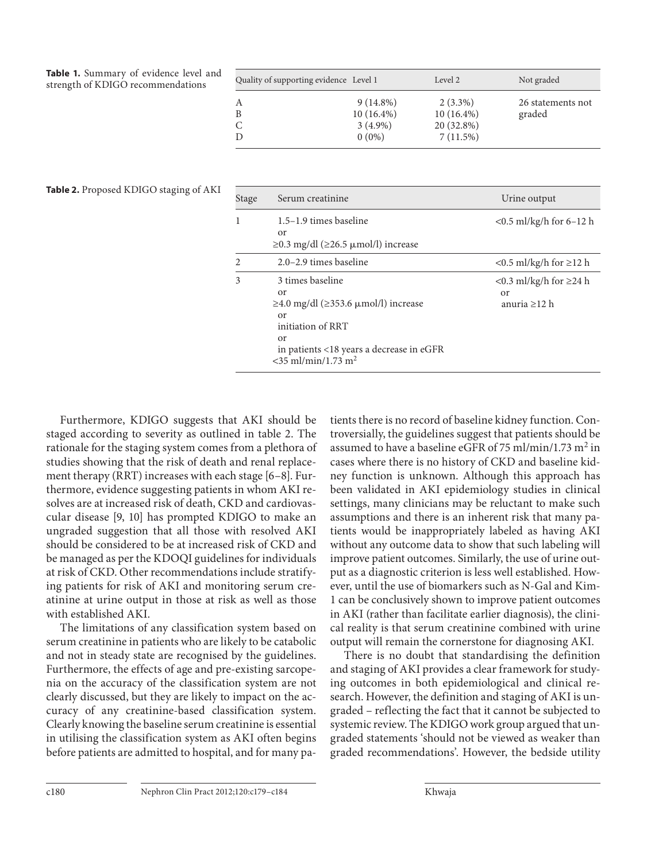**Table 1.** Summary of evidence level and strength of KDIGO recommendations

| Quality of supporting evidence Level 1 |                                                       | Level 2                                              | Not graded                  |
|----------------------------------------|-------------------------------------------------------|------------------------------------------------------|-----------------------------|
| А<br>B                                 | $9(14.8\%)$<br>$10(16.4\%)$<br>$3(4.9\%)$<br>$0(0\%)$ | $2(3.3\%)$<br>$10(16.4\%)$<br>20 (32.8%)<br>7(11.5%) | 26 statements not<br>graded |

| <b>Table 2.</b> Proposed KDIGO staging of AKI |  |  |  |
|-----------------------------------------------|--|--|--|
|-----------------------------------------------|--|--|--|

| Stage | Serum creatinine                                                                                                                                                                                     | Urine output                                                   |
|-------|------------------------------------------------------------------------------------------------------------------------------------------------------------------------------------------------------|----------------------------------------------------------------|
| 1     | 1.5–1.9 times baseline<br>0r<br>$\geq$ 0.3 mg/dl ( $\geq$ 26.5 µmol/l) increase                                                                                                                      | $< 0.5$ ml/kg/h for 6-12 h                                     |
| 2     | $2.0 - 2.9$ times baseline                                                                                                                                                                           | $<$ 0.5 ml/kg/h for $\geq$ 12 h                                |
| 3     | 3 times baseline<br>$\alpha$ r<br>$\geq$ 4.0 mg/dl ( $\geq$ 353.6 µmol/l) increase<br>or<br>initiation of RRT<br>or<br>in patients <18 years a decrease in eGFR<br>$<$ 35 ml/min/1.73 m <sup>2</sup> | <0.3 ml/kg/h for $\geq$ 24 h<br>$\alpha$<br>anuria $\geq$ 12 h |

 Furthermore, KDIGO suggests that AKI should be staged according to severity as outlined in table 2. The rationale for the staging system comes from a plethora of studies showing that the risk of death and renal replacement therapy (RRT) increases with each stage [6-8]. Furthermore, evidence suggesting patients in whom AKI resolves are at increased risk of death, CKD and cardiovascular disease [9, 10] has prompted KDIGO to make an ungraded suggestion that all those with resolved AKI should be considered to be at increased risk of CKD and be managed as per the KDOQI guidelines for individuals at risk of CKD. Other recommendations include stratifying patients for risk of AKI and monitoring serum creatinine at urine output in those at risk as well as those with established AKI.

 The limitations of any classification system based on serum creatinine in patients who are likely to be catabolic and not in steady state are recognised by the guidelines. Furthermore, the effects of age and pre-existing sarcopenia on the accuracy of the classification system are not clearly discussed, but they are likely to impact on the accuracy of any creatinine-based classification system. Clearly knowing the baseline serum creatinine is essential in utilising the classification system as AKI often begins before patients are admitted to hospital, and for many patients there is no record of baseline kidney function. Controversially, the guidelines suggest that patients should be assumed to have a baseline eGFR of 75 ml/min/1.73  $m^2$  in cases where there is no history of CKD and baseline kidney function is unknown. Although this approach has been validated in AKI epidemiology studies in clinical settings, many clinicians may be reluctant to make such assumptions and there is an inherent risk that many patients would be inappropriately labeled as having AKI without any outcome data to show that such labeling will improve patient outcomes. Similarly, the use of urine output as a diagnostic criterion is less well established. However, until the use of biomarkers such as N-Gal and Kim-1 can be conclusively shown to improve patient outcomes in AKI (rather than facilitate earlier diagnosis), the clinical reality is that serum creatinine combined with urine output will remain the cornerstone for diagnosing AKI.

 There is no doubt that standardising the definition and staging of AKI provides a clear framework for studying outcomes in both epidemiological and clinical research. However, the definition and staging of AKI is ungraded – reflecting the fact that it cannot be subjected to systemic review. The KDIGO work group argued that ungraded statements 'should not be viewed as weaker than graded recommendations'. However, the bedside utility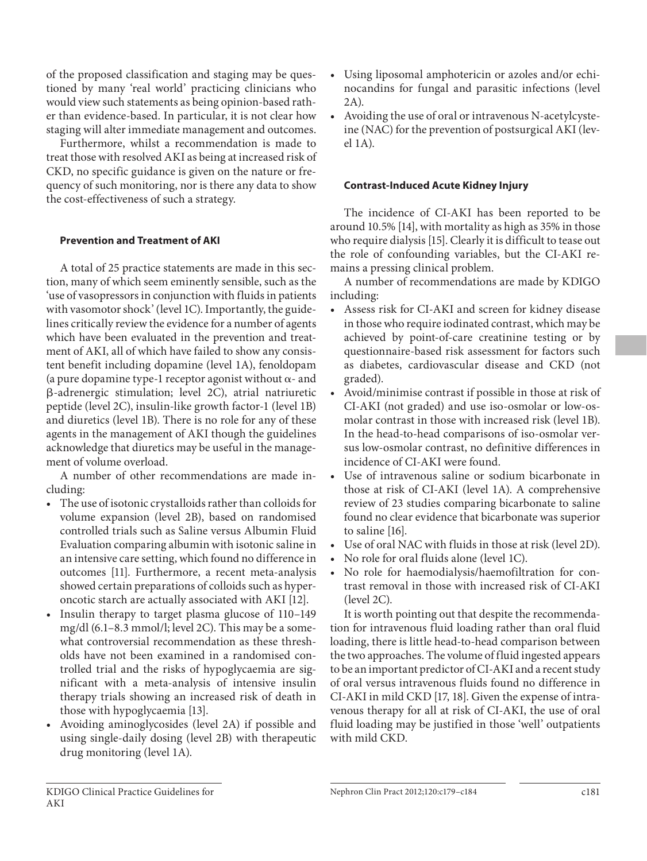of the proposed classification and staging may be questioned by many 'real world' practicing clinicians who would view such statements as being opinion-based rather than evidence-based. In particular, it is not clear how staging will alter immediate management and outcomes.

 Furthermore, whilst a recommendation is made to treat those with resolved AKI as being at increased risk of CKD, no specific guidance is given on the nature or frequency of such monitoring, nor is there any data to show the cost-effectiveness of such a strategy.

# **Prevention and Treatment of AKI**

 A total of 25 practice statements are made in this section, many of which seem eminently sensible, such as the 'use of vasopressors in conjunction with fluids in patients with vasomotor shock' (level 1C). Importantly, the guidelines critically review the evidence for a number of agents which have been evaluated in the prevention and treatment of AKI, all of which have failed to show any consistent benefit including dopamine (level 1A), fenoldopam (a pure dopamine type-1 receptor agonist without  $\alpha$ - and -adrenergic stimulation; level 2C), atrial natriuretic peptide (level 2C), insulin-like growth factor-1 (level 1B) and diuretics (level 1B). There is no role for any of these agents in the management of AKI though the guidelines acknowledge that diuretics may be useful in the management of volume overload.

 A number of other recommendations are made including:

- The use of isotonic crystalloids rather than colloids for volume expansion (level 2B), based on randomised controlled trials such as Saline versus Albumin Fluid Evaluation comparing albumin with isotonic saline in an intensive care setting, which found no difference in outcomes [11]. Furthermore, a recent meta-analysis showed certain preparations of colloids such as hyperoncotic starch are actually associated with AKI [12] .
- Insulin therapy to target plasma glucose of 110–149 mg/dl (6.1–8.3 mmol/l; level 2C). This may be a somewhat controversial recommendation as these thresholds have not been examined in a randomised controlled trial and the risks of hypoglycaemia are significant with a meta-analysis of intensive insulin therapy trials showing an increased risk of death in those with hypoglycaemia [13].
- Avoiding aminoglycosides (level 2A) if possible and using single-daily dosing (level 2B) with therapeutic drug monitoring (level 1A).
- Using liposomal amphotericin or azoles and/or echinocandins for fungal and parasitic infections (level 2A).
- Avoiding the use of oral or intravenous N-acetylcysteine (NAC) for the prevention of postsurgical AKI (level 1A).

### **Contrast-Induced Acute Kidney Injury**

 The incidence of CI-AKI has been reported to be around 10.5% [14], with mortality as high as 35% in those who require dialysis [15]. Clearly it is difficult to tease out the role of confounding variables, but the CI-AKI remains a pressing clinical problem.

 A number of recommendations are made by KDIGO including:

- Assess risk for CI-AKI and screen for kidney disease in those who require iodinated contrast, which may be achieved by point-of-care creatinine testing or by questionnaire-based risk assessment for factors such as diabetes, cardiovascular disease and CKD (not graded).
- Avoid/minimise contrast if possible in those at risk of CI-AKI (not graded) and use iso-osmolar or low-osmolar contrast in those with increased risk (level 1B). In the head-to-head comparisons of iso-osmolar versus low-osmolar contrast, no definitive differences in incidence of CI-AKI were found.
- Use of intravenous saline or sodium bicarbonate in those at risk of CI-AKI (level 1A). A comprehensive review of 23 studies comparing bicarbonate to saline found no clear evidence that bicarbonate was superior to saline [16].
- Use of oral NAC with fluids in those at risk (level 2D).
- No role for oral fluids alone (level 1C).
- No role for haemodialysis/haemofiltration for contrast removal in those with increased risk of CI-AKI (level 2C).

 It is worth pointing out that despite the recommendation for intravenous fluid loading rather than oral fluid loading, there is little head-to-head comparison between the two approaches. The volume of fluid ingested appears to be an important predictor of CI-AKI and a recent study of oral versus intravenous fluids found no difference in CI-AKI in mild CKD [17, 18]. Given the expense of intravenous therapy for all at risk of CI-AKI, the use of oral fluid loading may be justified in those 'well' outpatients with mild CKD.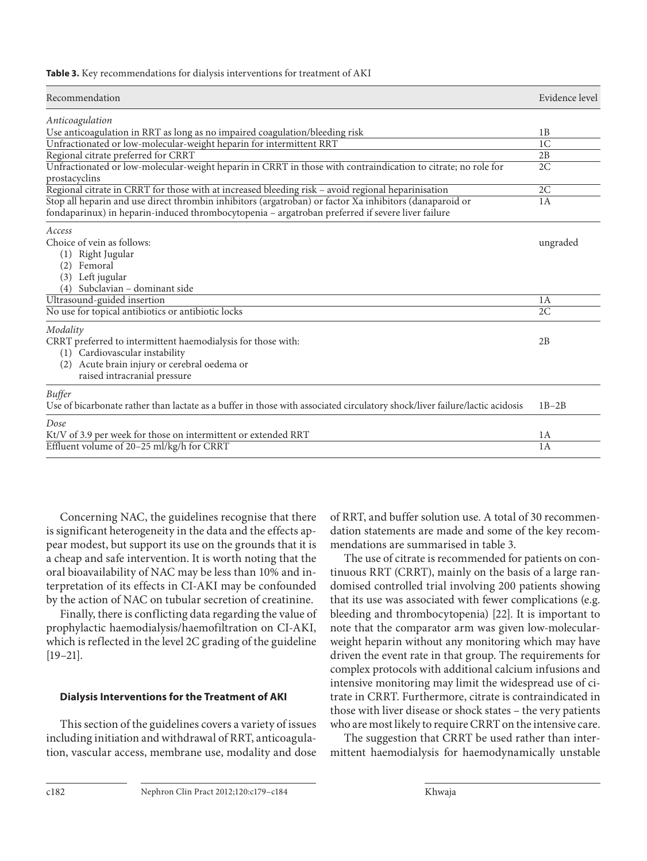**Table 3.** Key recommendations for dialysis interventions for treatment of AKI

| Recommendation                                                                                                                                                                                              | Evidence level |
|-------------------------------------------------------------------------------------------------------------------------------------------------------------------------------------------------------------|----------------|
| Anticoagulation                                                                                                                                                                                             |                |
| Use anticoagulation in RRT as long as no impaired coagulation/bleeding risk                                                                                                                                 | 1B             |
| Unfractionated or low-molecular-weight heparin for intermittent RRT                                                                                                                                         | 1 <sup>C</sup> |
| Regional citrate preferred for CRRT                                                                                                                                                                         | 2B             |
| Unfractionated or low-molecular-weight heparin in CRRT in those with contraindication to citrate; no role for<br>prostacyclins                                                                              | 2C             |
| Regional citrate in CRRT for those with at increased bleeding risk - avoid regional heparinisation                                                                                                          | 2C             |
| Stop all heparin and use direct thrombin inhibitors (argatroban) or factor Xa inhibitors (danaparoid or<br>fondaparinux) in heparin-induced thrombocytopenia - argatroban preferred if severe liver failure | 1A             |
| Access<br>Choice of vein as follows:<br>Right Jugular<br>(1)<br>Femoral<br>(2)<br>Left jugular<br>(3)<br>Subclavian - dominant side                                                                         | ungraded       |
| Ultrasound-guided insertion                                                                                                                                                                                 | 1A             |
| No use for topical antibiotics or antibiotic locks                                                                                                                                                          | 2C             |
| Modality<br>CRRT preferred to intermittent haemodialysis for those with:<br>(1) Cardiovascular instability<br>Acute brain injury or cerebral oedema or<br>(2)<br>raised intracranial pressure               | 2B             |
| <b>Buffer</b><br>Use of bicarbonate rather than lactate as a buffer in those with associated circulatory shock/liver failure/lactic acidosis                                                                | $1B-2B$        |
| Dose                                                                                                                                                                                                        |                |
| Kt/V of 3.9 per week for those on intermittent or extended RRT                                                                                                                                              | 1A             |
| Effluent volume of 20–25 ml/kg/h for CRRT                                                                                                                                                                   | 1A             |

 Concerning NAC, the guidelines recognise that there is significant heterogeneity in the data and the effects appear modest, but support its use on the grounds that it is a cheap and safe intervention. It is worth noting that the oral bioavailability of NAC may be less than 10% and interpretation of its effects in CI-AKI may be confounded by the action of NAC on tubular secretion of creatinine.

 Finally, there is conflicting data regarding the value of prophylactic haemodialysis/haemofiltration on CI-AKI, which is reflected in the level 2C grading of the guideline  $[19-21]$ .

## **Dialysis Interventions for the Treatment of AKI**

 This section of the guidelines covers a variety of issues including initiation and withdrawal of RRT, anticoagulation, vascular access, membrane use, modality and dose of RRT, and buffer solution use. A total of 30 recommendation statements are made and some of the key recommendations are summarised in table 3.

 The use of citrate is recommended for patients on continuous RRT (CRRT), mainly on the basis of a large randomised controlled trial involving 200 patients showing that its use was associated with fewer complications (e.g. bleeding and thrombocytopenia) [22]. It is important to note that the comparator arm was given low-molecularweight heparin without any monitoring which may have driven the event rate in that group. The requirements for complex protocols with additional calcium infusions and intensive monitoring may limit the widespread use of citrate in CRRT. Furthermore, citrate is contraindicated in those with liver disease or shock states – the very patients who are most likely to require CRRT on the intensive care.

 The suggestion that CRRT be used rather than intermittent haemodialysis for haemodynamically unstable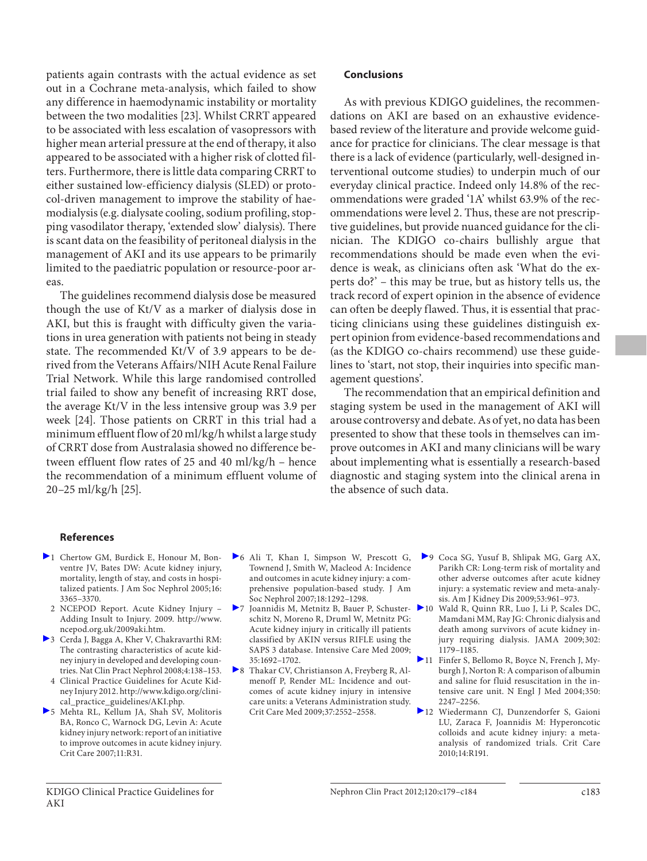patients again contrasts with the actual evidence as set out in a Cochrane meta-analysis, which failed to show any difference in haemodynamic instability or mortality between the two modalities [23]. Whilst CRRT appeared to be associated with less escalation of vasopressors with higher mean arterial pressure at the end of therapy, it also appeared to be associated with a higher risk of clotted filters. Furthermore, there is little data comparing CRRT to either sustained low-efficiency dialysis (SLED) or protocol-driven management to improve the stability of haemodialysis (e.g. dialysate cooling, sodium profiling, stopping vasodilator therapy, 'extended slow' dialysis). There is scant data on the feasibility of peritoneal dialysis in the management of AKI and its use appears to be primarily limited to the paediatric population or resource-poor areas.

 The guidelines recommend dialysis dose be measured though the use of Kt/V as a marker of dialysis dose in AKI, but this is fraught with difficulty given the variations in urea generation with patients not being in steady state. The recommended Kt/V of 3.9 appears to be derived from the Veterans Affairs/NIH Acute Renal Failure Trial Network. While this large randomised controlled trial failed to show any benefit of increasing RRT dose, the average Kt/V in the less intensive group was 3.9 per week [24]. Those patients on CRRT in this trial had a minimum effluent flow of 20 ml/kg/h whilst a large study of CRRT dose from Australasia showed no difference between effluent flow rates of 25 and 40 ml/kg/h – hence the recommendation of a minimum effluent volume of  $20-25$  ml/kg/h [25].

## **Conclusions**

 As with previous KDIGO guidelines, the recommendations on AKI are based on an exhaustive evidencebased review of the literature and provide welcome guidance for practice for clinicians. The clear message is that there is a lack of evidence (particularly, well-designed interventional outcome studies) to underpin much of our everyday clinical practice. Indeed only 14.8% of the recommendations were graded '1A' whilst 63.9% of the recommendations were level 2. Thus, these are not prescriptive guidelines, but provide nuanced guidance for the clinician. The KDIGO co-chairs bullishly argue that recommendations should be made even when the evidence is weak, as clinicians often ask 'What do the experts do?' – this may be true, but as history tells us, the track record of expert opinion in the absence of evidence can often be deeply flawed. Thus, it is essential that practicing clinicians using these guidelines distinguish expert opinion from evidence-based recommendations and (as the KDIGO co-chairs recommend) use these guidelines to 'start, not stop, their inquiries into specific management questions'.

 The recommendation that an empirical definition and staging system be used in the management of AKI will arouse controversy and debate. As of yet, no data has been presented to show that these tools in themselves can improve outcomes in AKI and many clinicians will be wary about implementing what is essentially a research-based diagnostic and staging system into the clinical arena in the absence of such data.

#### **References**

- 1 Chertow GM, Burdick E, Honour M, Bonventre JV, Bates DW: Acute kidney injury, mortality, length of stay, and costs in hospitalized patients. J Am Soc Nephrol 2005;16: 3365–3370.
	- 2 NCEPOD Report. Acute Kidney Injury Adding Insult to Injury. 2009. http://www. ncepod.org.uk/2009aki.htm.
- 3 Cerda J, Bagga A, Kher V, Chakravarthi RM: The contrasting characteristics of acute kidney injury in developed and developing countries. Nat Clin Pract Nephrol 2008;4:138–153.
- 4 Clinical Practice Guidelines for Acute Kidney Injury 2012. http://www.kdigo.org/clinical\_practice\_guidelines/AKI.php.
- 5 Mehta RL, Kellum JA, Shah SV, Molitoris BA, Ronco C, Warnock DG, Levin A: Acute kidney injury network: report of an initiative to improve outcomes in acute kidney injury. Crit Care 2007;11:R31.
- 6 Ali T, Khan I, Simpson W, Prescott G, Townend J, Smith W, Macleod A: Incidence and outcomes in acute kidney injury: a comprehensive population-based study. J Am Soc Nephrol 2007;18:1292–1298.
- 7 Joannidis M, Metnitz B, Bauer P, Schusterschitz N, Moreno R, Druml W, Metnitz PG: Acute kidney injury in critically ill patients classified by AKIN versus RIFLE using the SAPS 3 database. Intensive Care Med 2009; 35:1692–1702.
- 8 Thakar CV, Christianson A, Freyberg R, Almenoff P, Render ML: Incidence and outcomes of acute kidney injury in intensive care units: a Veterans Administration study. Crit Care Med 2009;37:2552–2558.
- 9 Coca SG, Yusuf B, Shlipak MG, Garg AX, Parikh CR: Long-term risk of mortality and other adverse outcomes after acute kidney injury: a systematic review and meta-analysis. Am J Kidney Dis 2009;53:961–973.
- 10 Wald R, Quinn RR, Luo J, Li P, Scales DC, Mamdani MM, Ray JG: Chronic dialysis and death among survivors of acute kidney injury requiring dialysis. JAMA 2009;302: 1179–1185.
- 11 Finfer S, Bellomo R, Boyce N, French J, Myburgh J, Norton R: A comparison of albumin and saline for fluid resuscitation in the intensive care unit. N Engl J Med 2004;350: 2247–2256.
- 12 Wiedermann CJ, Dunzendorfer S, Gaioni LU, Zaraca F, Joannidis M: Hyperoncotic colloids and acute kidney injury: a metaanalysis of randomized trials. Crit Care 2010;14:R191.